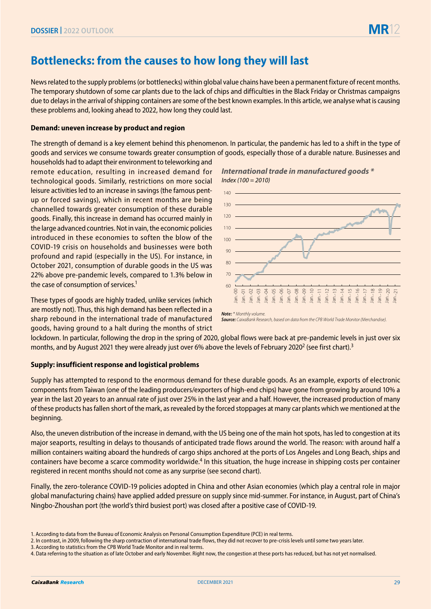# **Bottlenecks: from the causes to how long they will last**

News related to the supply problems (or bottlenecks) within global value chains have been a permanent fixture of recent months. The temporary shutdown of some car plants due to the lack of chips and difficulties in the Black Friday or Christmas campaigns due to delays in the arrival of shipping containers are some of the best known examples. In this article, we analyse what is causing these problems and, looking ahead to 2022, how long they could last.

## **Demand: uneven increase by product and region**

The strength of demand is a key element behind this phenomenon. In particular, the pandemic has led to a shift in the type of goods and services we consume towards greater consumption of goods, especially those of a durable nature. Businesses and

households had to adapt their environment to teleworking and remote education, resulting in increased demand for technological goods. Similarly, restrictions on more social leisure activities led to an increase in savings (the famous pentup or forced savings), which in recent months are being channelled towards greater consumption of these durable goods. Finally, this increase in demand has occurred mainly in the large advanced countries. Not in vain, the economic policies introduced in these economies to soften the blow of the COVID-19 crisis on households and businesses were both profound and rapid (especially in the US). For instance, in October 2021, consumption of durable goods in the US was 22% above pre-pandemic levels, compared to 1.3% below in the case of consumption of services.<sup>1</sup>

These types of goods are highly traded, unlike services (which are mostly not). Thus, this high demand has been reflected in a sharp rebound in the international trade of manufactured goods, having ground to a halt during the months of strict





*Source: CaixaBank Research, based on data from the CPB World Trade Monitor (Merchandise).*

lockdown. In particular, following the drop in the spring of 2020, global flows were back at pre-pandemic levels in just over six months, and by August 2021 they were already just over 6% above the levels of February 2020<sup>2</sup> (see first chart).<sup>3</sup>

## **Supply: insufficient response and logistical problems**

Supply has attempted to respond to the enormous demand for these durable goods. As an example, exports of electronic components from Taiwan (one of the leading producers/exporters of high-end chips) have gone from growing by around 10% a year in the last 20 years to an annual rate of just over 25% in the last year and a half. However, the increased production of many of these products has fallen short of the mark, as revealed by the forced stoppages at many car plants which we mentioned at the beginning.

Also, the uneven distribution of the increase in demand, with the US being one of the main hot spots, has led to congestion at its major seaports, resulting in delays to thousands of anticipated trade flows around the world. The reason: with around half a million containers waiting aboard the hundreds of cargo ships anchored at the ports of Los Angeles and Long Beach, ships and containers have become a scarce commodity worldwide.4 In this situation, the huge increase in shipping costs per container registered in recent months should not come as any surprise (see second chart).

Finally, the zero-tolerance COVID-19 policies adopted in China and other Asian economies (which play a central role in major global manufacturing chains) have applied added pressure on supply since mid-summer. For instance, in August, part of China's Ningbo-Zhoushan port (the world's third busiest port) was closed after a positive case of COVID-19.

<sup>1.</sup> According to data from the Bureau of Economic Analysis on Personal Consumption Expenditure (PCE) in real terms.

<sup>2.</sup> In contrast, in 2009, following the sharp contraction of international trade flows, they did not recover to pre-crisis levels until some two years later.

<sup>3.</sup> According to statistics from the CPB World Trade Monitor and in real terms.

<sup>4.</sup> Data referring to the situation as of late October and early November. Right now, the congestion at these ports has reduced, but has not yet normalised.